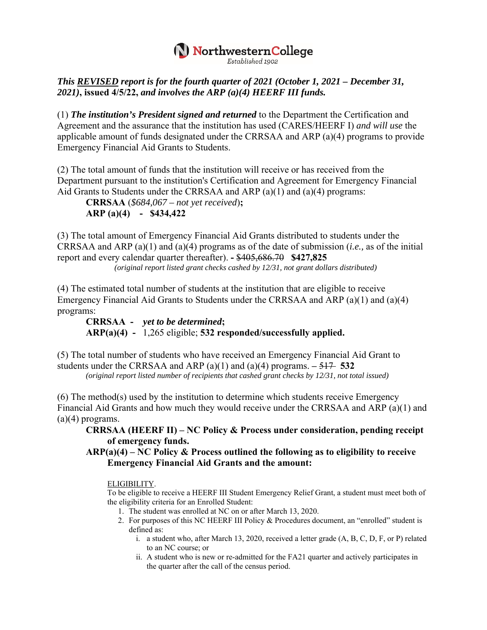## NorthwesternCollege

## *This REVISED report is for the fourth quarter of 2021 (October 1, 2021 – December 31, 2021)***, issued 4/5/22,** *and involves the ARP (a)(4) HEERF III funds.*

(1) *The institution's President signed and returned* to the Department the Certification and Agreement and the assurance that the institution has used (CARES/HEERF I) *and will use* the applicable amount of funds designated under the CRRSAA and ARP (a)(4) programs to provide Emergency Financial Aid Grants to Students.

(2) The total amount of funds that the institution will receive or has received from the Department pursuant to the institution's Certification and Agreement for Emergency Financial Aid Grants to Students under the CRRSAA and ARP (a)(1) and (a)(4) programs:

**CRRSAA** (*\$684,067 – not yet received*)**; ARP (a)(4) - \$434,422** 

(3) The total amount of Emergency Financial Aid Grants distributed to students under the CRRSAA and ARP (a)(1) and (a)(4) programs as of the date of submission (*i.e.,* as of the initial report and every calendar quarter thereafter). **-** \$405,686.70 **\$427,825** 

*(original report listed grant checks cashed by 12/31, not grant dollars distributed)* 

(4) The estimated total number of students at the institution that are eligible to receive Emergency Financial Aid Grants to Students under the CRRSAA and ARP (a)(1) and (a)(4) programs:

**CRRSAA -** *yet to be determined***; ARP(a)(4) -** 1,265 eligible; **532 responded/successfully applied.** 

(5) The total number of students who have received an Emergency Financial Aid Grant to students under the CRRSAA and ARP (a)(1) and (a)(4) programs.  $-517$  532 *(original report listed number of recipients that cashed grant checks by 12/31, not total issued)* 

(6) The method(s) used by the institution to determine which students receive Emergency Financial Aid Grants and how much they would receive under the CRRSAA and ARP (a)(1) and  $(a)(4)$  programs.

**CRRSAA (HEERF II) – NC Policy & Process under consideration, pending receipt of emergency funds.** 

**ARP(a)(4) – NC Policy & Process outlined the following as to eligibility to receive Emergency Financial Aid Grants and the amount:** 

ELIGIBILITY.

To be eligible to receive a HEERF III Student Emergency Relief Grant, a student must meet both of the eligibility criteria for an Enrolled Student:

- 1. The student was enrolled at NC on or after March 13, 2020.
- 2. For purposes of this NC HEERF III Policy & Procedures document, an "enrolled" student is defined as:
	- i. a student who, after March 13, 2020, received a letter grade (A, B, C, D, F, or P) related to an NC course; or
	- ii. A student who is new or re-admitted for the FA21 quarter and actively participates in the quarter after the call of the census period.